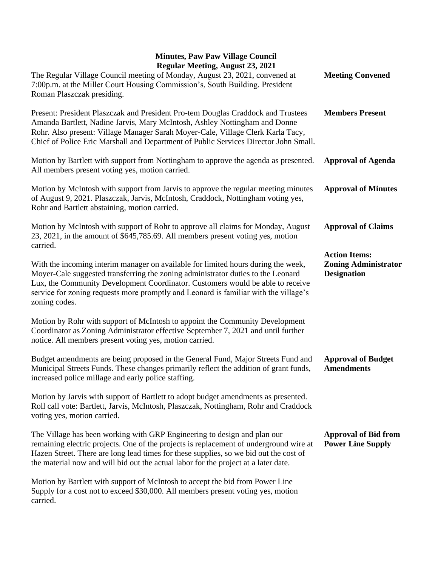## **Minutes, Paw Paw Village Council Regular Meeting, August 23, 2021**

| Regular Meeting, August 23, 2021                                                                                                                                                                                                                                                                                                                                 |                                                                           |
|------------------------------------------------------------------------------------------------------------------------------------------------------------------------------------------------------------------------------------------------------------------------------------------------------------------------------------------------------------------|---------------------------------------------------------------------------|
| The Regular Village Council meeting of Monday, August 23, 2021, convened at<br>7:00p.m. at the Miller Court Housing Commission's, South Building. President<br>Roman Plaszczak presiding.                                                                                                                                                                        | <b>Meeting Convened</b>                                                   |
| Present: President Plaszczak and President Pro-tem Douglas Craddock and Trustees<br>Amanda Bartlett, Nadine Jarvis, Mary McIntosh, Ashley Nottingham and Donne<br>Rohr. Also present: Village Manager Sarah Moyer-Cale, Village Clerk Karla Tacy,<br>Chief of Police Eric Marshall and Department of Public Services Director John Small.                        | <b>Members Present</b>                                                    |
| Motion by Bartlett with support from Nottingham to approve the agenda as presented.<br>All members present voting yes, motion carried.                                                                                                                                                                                                                           | <b>Approval of Agenda</b>                                                 |
| Motion by McIntosh with support from Jarvis to approve the regular meeting minutes<br>of August 9, 2021. Plaszczak, Jarvis, McIntosh, Craddock, Nottingham voting yes,<br>Rohr and Bartlett abstaining, motion carried.                                                                                                                                          | <b>Approval of Minutes</b>                                                |
| Motion by McIntosh with support of Rohr to approve all claims for Monday, August<br>23, 2021, in the amount of \$645,785.69. All members present voting yes, motion<br>carried.                                                                                                                                                                                  | <b>Approval of Claims</b>                                                 |
| With the incoming interim manager on available for limited hours during the week,<br>Moyer-Cale suggested transferring the zoning administrator duties to the Leonard<br>Lux, the Community Development Coordinator. Customers would be able to receive<br>service for zoning requests more promptly and Leonard is familiar with the village's<br>zoning codes. | <b>Action Items:</b><br><b>Zoning Administrator</b><br><b>Designation</b> |
| Motion by Rohr with support of McIntosh to appoint the Community Development<br>Coordinator as Zoning Administrator effective September 7, 2021 and until further<br>notice. All members present voting yes, motion carried.                                                                                                                                     |                                                                           |
| Budget amendments are being proposed in the General Fund, Major Streets Fund and<br>Municipal Streets Funds. These changes primarily reflect the addition of grant funds,<br>increased police millage and early police staffing.                                                                                                                                 | <b>Approval of Budget</b><br><b>Amendments</b>                            |
| Motion by Jarvis with support of Bartlett to adopt budget amendments as presented.<br>Roll call vote: Bartlett, Jarvis, McIntosh, Plaszczak, Nottingham, Rohr and Craddock<br>voting yes, motion carried.                                                                                                                                                        |                                                                           |
| The Village has been working with GRP Engineering to design and plan our<br>remaining electric projects. One of the projects is replacement of underground wire at<br>Hazen Street. There are long lead times for these supplies, so we bid out the cost of<br>the material now and will bid out the actual labor for the project at a later date.               | <b>Approval of Bid from</b><br><b>Power Line Supply</b>                   |
| Motion by Bartlett with support of McIntosh to accept the bid from Power Line<br>Supply for a cost not to exceed \$30,000. All members present voting yes, motion                                                                                                                                                                                                |                                                                           |

carried.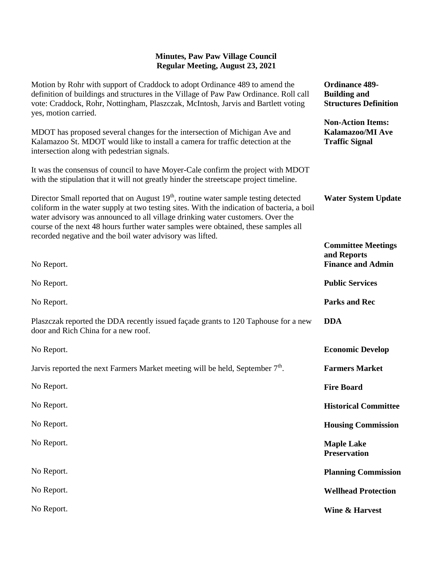## **Minutes, Paw Paw Village Council Regular Meeting, August 23, 2021**

| Motion by Rohr with support of Craddock to adopt Ordinance 489 to amend the<br>definition of buildings and structures in the Village of Paw Paw Ordinance. Roll call<br>vote: Craddock, Rohr, Nottingham, Plaszczak, McIntosh, Jarvis and Bartlett voting<br>yes, motion carried.                                                                                                                                                  | <b>Ordinance 489-</b><br><b>Building and</b><br><b>Structures Definition</b> |
|------------------------------------------------------------------------------------------------------------------------------------------------------------------------------------------------------------------------------------------------------------------------------------------------------------------------------------------------------------------------------------------------------------------------------------|------------------------------------------------------------------------------|
| MDOT has proposed several changes for the intersection of Michigan Ave and<br>Kalamazoo St. MDOT would like to install a camera for traffic detection at the<br>intersection along with pedestrian signals.                                                                                                                                                                                                                        | <b>Non-Action Items:</b><br>Kalamazoo/MI Ave<br><b>Traffic Signal</b>        |
| It was the consensus of council to have Moyer-Cale confirm the project with MDOT<br>with the stipulation that it will not greatly hinder the streetscape project timeline.                                                                                                                                                                                                                                                         |                                                                              |
| Director Small reported that on August 19 <sup>th</sup> , routine water sample testing detected<br>coliform in the water supply at two testing sites. With the indication of bacteria, a boil<br>water advisory was announced to all village drinking water customers. Over the<br>course of the next 48 hours further water samples were obtained, these samples all<br>recorded negative and the boil water advisory was lifted. | <b>Water System Update</b>                                                   |
|                                                                                                                                                                                                                                                                                                                                                                                                                                    | <b>Committee Meetings</b><br>and Reports                                     |
| No Report.                                                                                                                                                                                                                                                                                                                                                                                                                         | <b>Finance and Admin</b>                                                     |
| No Report.                                                                                                                                                                                                                                                                                                                                                                                                                         | <b>Public Services</b>                                                       |
| No Report.                                                                                                                                                                                                                                                                                                                                                                                                                         | <b>Parks and Rec</b>                                                         |
| Plaszczak reported the DDA recently issued façade grants to 120 Taphouse for a new<br>door and Rich China for a new roof.                                                                                                                                                                                                                                                                                                          | <b>DDA</b>                                                                   |
| No Report.                                                                                                                                                                                                                                                                                                                                                                                                                         | <b>Economic Develop</b>                                                      |
| Jarvis reported the next Farmers Market meeting will be held, September 7 <sup>th</sup> .                                                                                                                                                                                                                                                                                                                                          | <b>Farmers Market</b>                                                        |
| No Report.                                                                                                                                                                                                                                                                                                                                                                                                                         | <b>Fire Board</b>                                                            |
| No Report.                                                                                                                                                                                                                                                                                                                                                                                                                         | <b>Historical Committee</b>                                                  |
| No Report.                                                                                                                                                                                                                                                                                                                                                                                                                         | <b>Housing Commission</b>                                                    |
| No Report.                                                                                                                                                                                                                                                                                                                                                                                                                         | <b>Maple Lake</b><br><b>Preservation</b>                                     |
| No Report.                                                                                                                                                                                                                                                                                                                                                                                                                         | <b>Planning Commission</b>                                                   |
| No Report.                                                                                                                                                                                                                                                                                                                                                                                                                         | <b>Wellhead Protection</b>                                                   |
| No Report.                                                                                                                                                                                                                                                                                                                                                                                                                         | <b>Wine &amp; Harvest</b>                                                    |